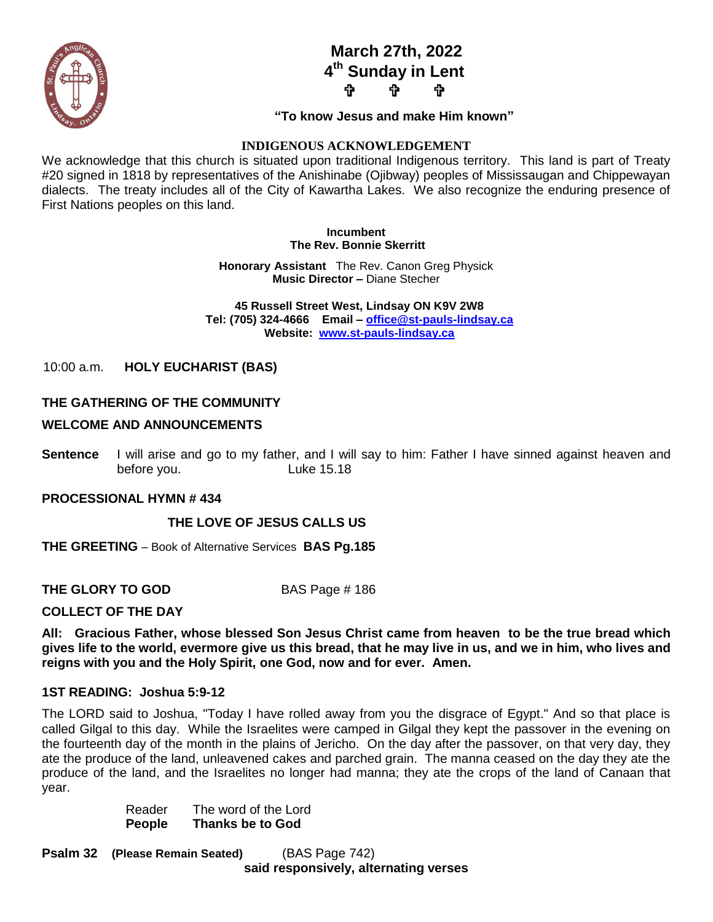**March 27th, 2022 4 th Sunday in Lent ታ ቀ** 



#### **"To know Jesus and make Him known"**

#### **INDIGENOUS ACKNOWLEDGEMENT**

We acknowledge that this church is situated upon traditional Indigenous territory. This land is part of Treaty #20 signed in 1818 by representatives of the Anishinabe (Ojibway) peoples of Mississaugan and Chippewayan dialects. The treaty includes all of the City of Kawartha Lakes. We also recognize the enduring presence of First Nations peoples on this land.

#### **Incumbent The Rev. Bonnie Skerritt**

**Honorary Assistant** The Rev. Canon Greg Physick **Music Director –** Diane Stecher

 **45 Russell Street West, Lindsay ON K9V 2W8 Tel: (705) 324-4666 Email – [office@st-pauls-lindsay.ca](mailto:office@st-pauls-lindsay.ca) Website: [www.st-pauls-lindsay.ca](http://www.st-pauls-lindsay.ca/)**

10:00 a.m. **HOLY EUCHARIST (BAS)** 

## **THE GATHERING OF THE COMMUNITY**

#### **WELCOME AND ANNOUNCEMENTS**

**Sentence** I will arise and go to my father, and I will say to him: Father I have sinned against heaven and before you. Luke 15.18

#### **PROCESSIONAL HYMN # 434**

#### **THE LOVE OF JESUS CALLS US**

**THE GREETING** – Book of Alternative Services **BAS Pg.185**

**THE GLORY TO GOD** BAS Page # 186

#### **COLLECT OF THE DAY**

**All: Gracious Father, whose blessed Son Jesus Christ came from heaven to be the true bread which gives life to the world, evermore give us this bread, that he may live in us, and we in him, who lives and reigns with you and the Holy Spirit, one God, now and for ever. Amen.**

#### **1ST READING: Joshua 5:9-12**

The LORD said to Joshua, "Today I have rolled away from you the disgrace of Egypt." And so that place is called Gilgal to this day. While the Israelites were camped in Gilgal they kept the passover in the evening on the fourteenth day of the month in the plains of Jericho. On the day after the passover, on that very day, they ate the produce of the land, unleavened cakes and parched grain. The manna ceased on the day they ate the produce of the land, and the Israelites no longer had manna; they ate the crops of the land of Canaan that year.

> Reader The word of the Lord **People Thanks be to God**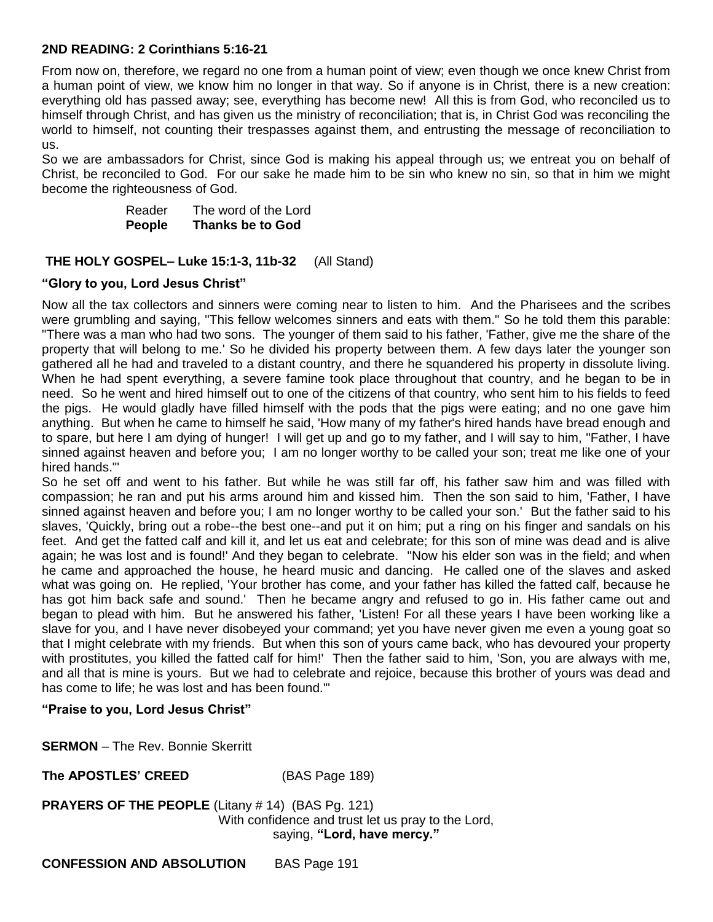## **2ND READING: 2 Corinthians 5:16-21**

From now on, therefore, we regard no one from a human point of view; even though we once knew Christ from a human point of view, we know him no longer in that way. So if anyone is in Christ, there is a new creation: everything old has passed away; see, everything has become new! All this is from God, who reconciled us to himself through Christ, and has given us the ministry of reconciliation; that is, in Christ God was reconciling the world to himself, not counting their trespasses against them, and entrusting the message of reconciliation to us.

So we are ambassadors for Christ, since God is making his appeal through us; we entreat you on behalf of Christ, be reconciled to God. For our sake he made him to be sin who knew no sin, so that in him we might become the righteousness of God.

> Reader The word of the Lord **People Thanks be to God**

#### **THE HOLY GOSPEL– Luke 15:1-3, 11b-32** (All Stand)

#### **"Glory to you, Lord Jesus Christ"**

Now all the tax collectors and sinners were coming near to listen to him. And the Pharisees and the scribes were grumbling and saying, "This fellow welcomes sinners and eats with them." So he told them this parable: "There was a man who had two sons. The younger of them said to his father, 'Father, give me the share of the property that will belong to me.' So he divided his property between them. A few days later the younger son gathered all he had and traveled to a distant country, and there he squandered his property in dissolute living. When he had spent everything, a severe famine took place throughout that country, and he began to be in need. So he went and hired himself out to one of the citizens of that country, who sent him to his fields to feed the pigs. He would gladly have filled himself with the pods that the pigs were eating; and no one gave him anything. But when he came to himself he said, 'How many of my father's hired hands have bread enough and to spare, but here I am dying of hunger! I will get up and go to my father, and I will say to him, "Father, I have sinned against heaven and before you; I am no longer worthy to be called your son; treat me like one of your hired hands."'

So he set off and went to his father. But while he was still far off, his father saw him and was filled with compassion; he ran and put his arms around him and kissed him. Then the son said to him, 'Father, I have sinned against heaven and before you; I am no longer worthy to be called your son.' But the father said to his slaves, 'Quickly, bring out a robe--the best one--and put it on him; put a ring on his finger and sandals on his feet. And get the fatted calf and kill it, and let us eat and celebrate; for this son of mine was dead and is alive again; he was lost and is found!' And they began to celebrate. "Now his elder son was in the field; and when he came and approached the house, he heard music and dancing. He called one of the slaves and asked what was going on. He replied, 'Your brother has come, and your father has killed the fatted calf, because he has got him back safe and sound.' Then he became angry and refused to go in. His father came out and began to plead with him. But he answered his father, 'Listen! For all these years I have been working like a slave for you, and I have never disobeyed your command; yet you have never given me even a young goat so that I might celebrate with my friends. But when this son of yours came back, who has devoured your property with prostitutes, you killed the fatted calf for him!' Then the father said to him, 'Son, you are always with me, and all that is mine is yours. But we had to celebrate and rejoice, because this brother of yours was dead and has come to life; he was lost and has been found.'"

#### **"Praise to you, Lord Jesus Christ"**

**SERMON** – The Rev. Bonnie Skerritt

**The APOSTLES' CREED** (BAS Page 189)

**PRAYERS OF THE PEOPLE** (Litany # 14) (BAS Pg. 121) With confidence and trust let us pray to the Lord, saying, **"Lord, have mercy."**

**CONFESSION AND ABSOLUTION** BAS Page 191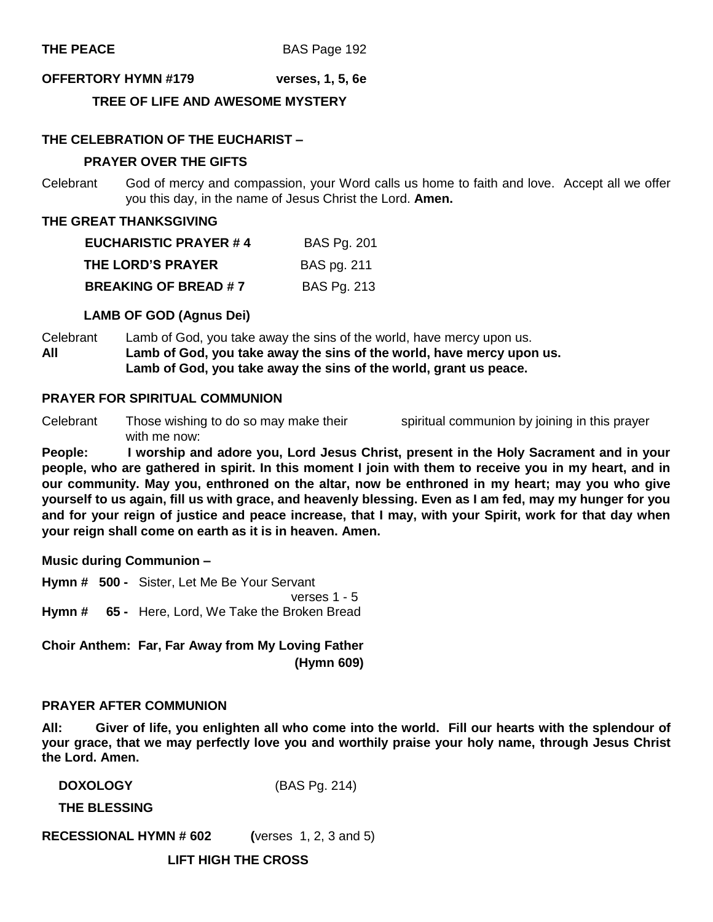#### **OFFERTORY HYMN #179 verses, 1, 5, 6e**

#### **TREE OF LIFE AND AWESOME MYSTERY**

#### **THE CELEBRATION OF THE EUCHARIST –**

#### **PRAYER OVER THE GIFTS**

Celebrant God of mercy and compassion, your Word calls us home to faith and love. Accept all we offer you this day, in the name of Jesus Christ the Lord. **Amen.**

#### **THE GREAT THANKSGIVING**

| <b>EUCHARISTIC PRAYER #4</b> | <b>BAS Pg. 201</b> |
|------------------------------|--------------------|
| THE LORD'S PRAYER            | <b>BAS pg. 211</b> |
| <b>BREAKING OF BREAD #7</b>  | <b>BAS Pg. 213</b> |

#### **LAMB OF GOD (Agnus Dei)**

Celebrant Lamb of God, you take away the sins of the world, have mercy upon us. **All Lamb of God, you take away the sins of the world, have mercy upon us. Lamb of God, you take away the sins of the world, grant us peace.** 

#### **PRAYER FOR SPIRITUAL COMMUNION**

Celebrant Those wishing to do so may make their spiritual communion by joining in this prayer with me now:

**People: I worship and adore you, Lord Jesus Christ, present in the Holy Sacrament and in your people, who are gathered in spirit. In this moment I join with them to receive you in my heart, and in our community. May you, enthroned on the altar, now be enthroned in my heart; may you who give yourself to us again, fill us with grace, and heavenly blessing. Even as I am fed, may my hunger for you and for your reign of justice and peace increase, that I may, with your Spirit, work for that day when your reign shall come on earth as it is in heaven. Amen.**

**Music during Communion –**

**Hymn # 500 -** Sister, Let Me Be Your Servant verses 1 - 5 **Hymn # 65 -** Here, Lord, We Take the Broken Bread

**Choir Anthem: Far, Far Away from My Loving Father (Hymn 609)**

#### **PRAYER AFTER COMMUNION**

**All: Giver of life, you enlighten all who come into the world. Fill our hearts with the splendour of your grace, that we may perfectly love you and worthily praise your holy name, through Jesus Christ the Lord. Amen.**

**DOXOLOGY** (BAS Pg. 214)

**THE BLESSING**

**RECESSIONAL HYMN # 602 (**verses 1, 2, 3 and 5)

**LIFT HIGH THE CROSS**